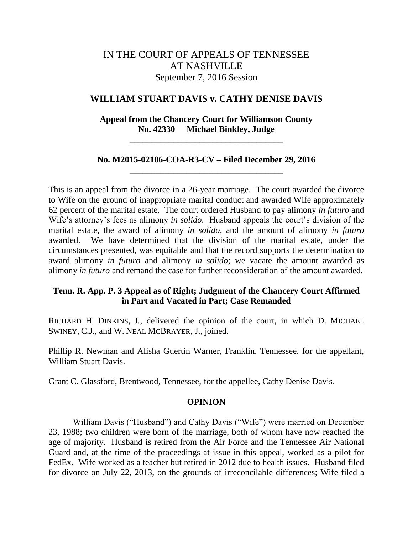# IN THE COURT OF APPEALS OF TENNESSEE AT NASHVILLE September 7, 2016 Session

## **WILLIAM STUART DAVIS v. CATHY DENISE DAVIS**

## **Appeal from the Chancery Court for Williamson County No. 42330 Michael Binkley, Judge**

**\_\_\_\_\_\_\_\_\_\_\_\_\_\_\_\_\_\_\_\_\_\_\_\_\_\_\_\_\_\_\_\_\_\_\_**

## **No. M2015-02106-COA-R3-CV – Filed December 29, 2016 \_\_\_\_\_\_\_\_\_\_\_\_\_\_\_\_\_\_\_\_\_\_\_\_\_\_\_\_\_\_\_\_\_\_\_**

This is an appeal from the divorce in a 26-year marriage. The court awarded the divorce to Wife on the ground of inappropriate marital conduct and awarded Wife approximately 62 percent of the marital estate. The court ordered Husband to pay alimony *in futuro* and Wife's attorney's fees as alimony *in solido*. Husband appeals the court's division of the marital estate, the award of alimony *in solido*, and the amount of alimony *in futuro* awarded. We have determined that the division of the marital estate, under the circumstances presented, was equitable and that the record supports the determination to award alimony *in futuro* and alimony *in solido*; we vacate the amount awarded as alimony *in futuro* and remand the case for further reconsideration of the amount awarded.

## **Tenn. R. App. P. 3 Appeal as of Right; Judgment of the Chancery Court Affirmed in Part and Vacated in Part; Case Remanded**

RICHARD H. DINKINS, J., delivered the opinion of the court, in which D. MICHAEL SWINEY, C.J., and W. NEAL MCBRAYER, J., joined.

Phillip R. Newman and Alisha Guertin Warner, Franklin, Tennessee, for the appellant, William Stuart Davis.

Grant C. Glassford, Brentwood, Tennessee, for the appellee, Cathy Denise Davis.

### **OPINION**

William Davis ("Husband") and Cathy Davis ("Wife") were married on December 23, 1988; two children were born of the marriage, both of whom have now reached the age of majority. Husband is retired from the Air Force and the Tennessee Air National Guard and, at the time of the proceedings at issue in this appeal, worked as a pilot for FedEx. Wife worked as a teacher but retired in 2012 due to health issues. Husband filed for divorce on July 22, 2013, on the grounds of irreconcilable differences; Wife filed a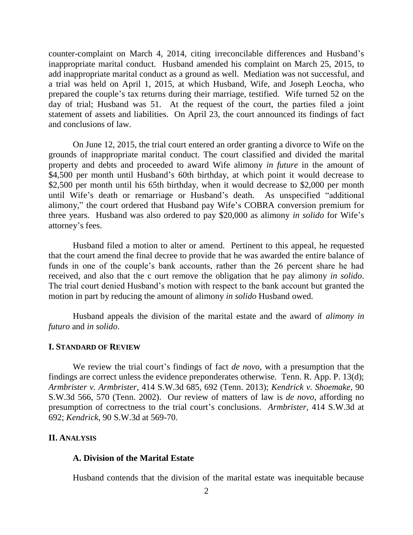counter-complaint on March 4, 2014, citing irreconcilable differences and Husband"s inappropriate marital conduct. Husband amended his complaint on March 25, 2015, to add inappropriate marital conduct as a ground as well. Mediation was not successful, and a trial was held on April 1, 2015, at which Husband, Wife, and Joseph Leocha, who prepared the couple"s tax returns during their marriage, testified. Wife turned 52 on the day of trial; Husband was 51. At the request of the court, the parties filed a joint statement of assets and liabilities. On April 23, the court announced its findings of fact and conclusions of law.

On June 12, 2015, the trial court entered an order granting a divorce to Wife on the grounds of inappropriate marital conduct. The court classified and divided the marital property and debts and proceeded to award Wife alimony *in future* in the amount of \$4,500 per month until Husband's 60th birthday, at which point it would decrease to \$2,500 per month until his 65th birthday, when it would decrease to \$2,000 per month until Wife's death or remarriage or Husband's death. As unspecified "additional alimony," the court ordered that Husband pay Wife"s COBRA conversion premium for three years. Husband was also ordered to pay \$20,000 as alimony *in solido* for Wife"s attorney's fees.

Husband filed a motion to alter or amend. Pertinent to this appeal, he requested that the court amend the final decree to provide that he was awarded the entire balance of funds in one of the couple"s bank accounts, rather than the 26 percent share he had received, and also that the c ourt remove the obligation that he pay alimony *in solido*. The trial court denied Husband"s motion with respect to the bank account but granted the motion in part by reducing the amount of alimony *in solido* Husband owed.

Husband appeals the division of the marital estate and the award of *alimony in futuro* and *in solido*.

### **I. STANDARD OF REVIEW**

We review the trial court's findings of fact *de novo*, with a presumption that the findings are correct unless the evidence preponderates otherwise. Tenn. R. App. P. 13(d); *Armbrister v. Armbrister,* 414 S.W.3d 685, 692 (Tenn. 2013); *Kendrick v. Shoemake,* 90 S.W.3d 566, 570 (Tenn. 2002). Our review of matters of law is *de novo*, affording no presumption of correctness to the trial court's conclusions. *Armbrister*, 414 S.W.3d at 692; *Kendrick,* 90 S.W.3d at 569-70.

### **II. ANALYSIS**

### **A. Division of the Marital Estate**

Husband contends that the division of the marital estate was inequitable because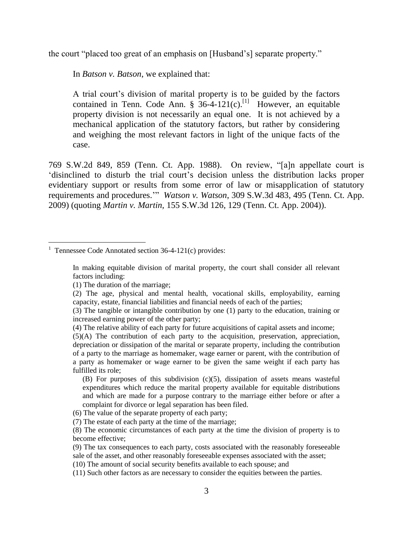the court "placed too great of an emphasis on [Husband"s] separate property."

In *Batson v. Batson*, we explained that:

A trial court"s division of marital property is to be guided by the factors contained in Tenn. Code Ann.  $\frac{1}{8}$  36-4-121(c).<sup>[1]</sup> However, an equitable property division is not necessarily an equal one. It is not achieved by a mechanical application of the statutory factors, but rather by considering and weighing the most relevant factors in light of the unique facts of the case.

769 S.W.2d 849, 859 (Tenn. Ct. App. 1988). On review, "[a]n appellate court is "disinclined to disturb the trial court"s decision unless the distribution lacks proper evidentiary support or results from some error of law or misapplication of statutory requirements and procedures."" *Watson v. Watson*, 309 S.W.3d 483, 495 (Tenn. Ct. App. 2009) (quoting *Martin v. Martin,* 155 S.W.3d 126, 129 (Tenn. Ct. App. 2004)).

In making equitable division of marital property, the court shall consider all relevant factors including:

(1) The duration of the marriage;

(2) The age, physical and mental health, vocational skills, employability, earning capacity, estate, financial liabilities and financial needs of each of the parties;

(3) The tangible or intangible contribution by one (1) party to the education, training or increased earning power of the other party;

(4) The relative ability of each party for future acquisitions of capital assets and income;

(5)(A) The contribution of each party to the acquisition, preservation, appreciation, depreciation or dissipation of the marital or separate property, including the contribution of a party to the marriage as homemaker, wage earner or parent, with the contribution of a party as homemaker or wage earner to be given the same weight if each party has fulfilled its role;

(B) For purposes of this subdivision (c)(5), dissipation of assets means wasteful expenditures which reduce the marital property available for equitable distributions and which are made for a purpose contrary to the marriage either before or after a complaint for divorce or legal separation has been filed.

(6) The value of the separate property of each party;

(7) The estate of each party at the time of the marriage;

(8) The economic circumstances of each party at the time the division of property is to become effective;

(9) The tax consequences to each party, costs associated with the reasonably foreseeable sale of the asset, and other reasonably foreseeable expenses associated with the asset;

(10) The amount of social security benefits available to each spouse; and

(11) Such other factors as are necessary to consider the equities between the parties.

<sup>&</sup>lt;sup>1</sup> Tennessee Code Annotated section 36-4-121(c) provides: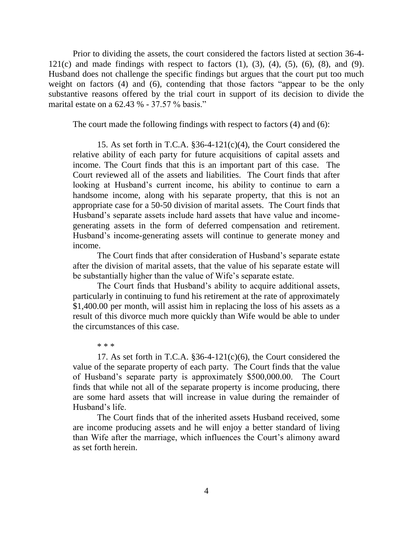Prior to dividing the assets, the court considered the factors listed at section 36-4- 121(c) and made findings with respect to factors  $(1)$ ,  $(3)$ ,  $(4)$ ,  $(5)$ ,  $(6)$ ,  $(8)$ , and  $(9)$ . Husband does not challenge the specific findings but argues that the court put too much weight on factors (4) and (6), contending that those factors "appear to be the only substantive reasons offered by the trial court in support of its decision to divide the marital estate on a 62.43 % - 37.57 % basis."

The court made the following findings with respect to factors (4) and (6):

15. As set forth in T.C.A.  $\S 36-4-121(c)(4)$ , the Court considered the relative ability of each party for future acquisitions of capital assets and income. The Court finds that this is an important part of this case. The Court reviewed all of the assets and liabilities. The Court finds that after looking at Husband's current income, his ability to continue to earn a handsome income, along with his separate property, that this is not an appropriate case for a 50-50 division of marital assets. The Court finds that Husband"s separate assets include hard assets that have value and incomegenerating assets in the form of deferred compensation and retirement. Husband"s income-generating assets will continue to generate money and income.

The Court finds that after consideration of Husband"s separate estate after the division of marital assets, that the value of his separate estate will be substantially higher than the value of Wife's separate estate.

The Court finds that Husband"s ability to acquire additional assets, particularly in continuing to fund his retirement at the rate of approximately \$1,400.00 per month, will assist him in replacing the loss of his assets as a result of this divorce much more quickly than Wife would be able to under the circumstances of this case.

\* \* \*

17. As set forth in T.C.A.  $\S 36-4-121(c)(6)$ , the Court considered the value of the separate property of each party. The Court finds that the value of Husband"s separate party is approximately \$500,000.00. The Court finds that while not all of the separate property is income producing, there are some hard assets that will increase in value during the remainder of Husband"s life.

The Court finds that of the inherited assets Husband received, some are income producing assets and he will enjoy a better standard of living than Wife after the marriage, which influences the Court's alimony award as set forth herein.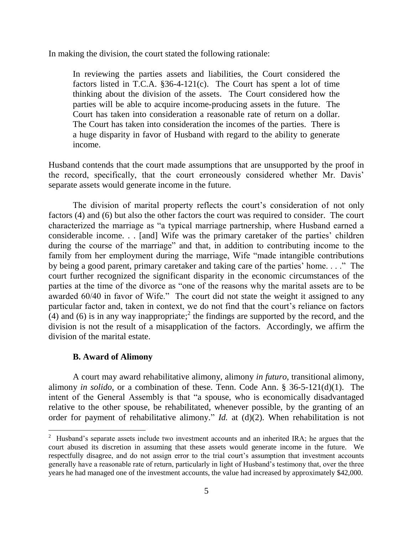In making the division, the court stated the following rationale:

In reviewing the parties assets and liabilities, the Court considered the factors listed in T.C.A. §36-4-121(c). The Court has spent a lot of time thinking about the division of the assets. The Court considered how the parties will be able to acquire income-producing assets in the future. The Court has taken into consideration a reasonable rate of return on a dollar. The Court has taken into consideration the incomes of the parties. There is a huge disparity in favor of Husband with regard to the ability to generate income.

Husband contends that the court made assumptions that are unsupported by the proof in the record, specifically, that the court erroneously considered whether Mr. Davis" separate assets would generate income in the future.

The division of marital property reflects the court's consideration of not only factors (4) and (6) but also the other factors the court was required to consider. The court characterized the marriage as "a typical marriage partnership, where Husband earned a considerable income. . . [and] Wife was the primary caretaker of the parties" children during the course of the marriage" and that, in addition to contributing income to the family from her employment during the marriage, Wife "made intangible contributions by being a good parent, primary caretaker and taking care of the parties" home. . . ." The court further recognized the significant disparity in the economic circumstances of the parties at the time of the divorce as "one of the reasons why the marital assets are to be awarded 60/40 in favor of Wife." The court did not state the weight it assigned to any particular factor and, taken in context, we do not find that the court's reliance on factors  $(4)$  and (6) is in any way inappropriate;<sup>2</sup> the findings are supported by the record, and the division is not the result of a misapplication of the factors. Accordingly, we affirm the division of the marital estate.

## **B. Award of Alimony**

A court may award rehabilitative alimony, alimony *in futuro*, transitional alimony, alimony *in solido*, or a combination of these. Tenn. Code Ann. § 36-5-121(d)(1). The intent of the General Assembly is that "a spouse, who is economically disadvantaged relative to the other spouse, be rehabilitated, whenever possible, by the granting of an order for payment of rehabilitative alimony." *Id.* at  $(d)(2)$ . When rehabilitation is not

<sup>&</sup>lt;sup>2</sup> Husband's separate assets include two investment accounts and an inherited IRA; he argues that the court abused its discretion in assuming that these assets would generate income in the future. We respectfully disagree, and do not assign error to the trial court's assumption that investment accounts generally have a reasonable rate of return, particularly in light of Husband"s testimony that, over the three years he had managed one of the investment accounts, the value had increased by approximately \$42,000.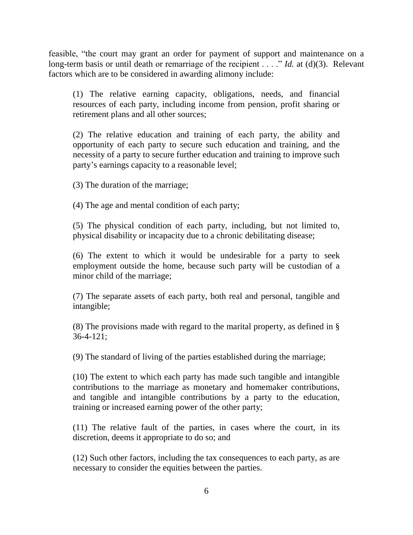feasible, "the court may grant an order for payment of support and maintenance on a long-term basis or until death or remarriage of the recipient . . . ." *Id.* at (d)(3). Relevant factors which are to be considered in awarding alimony include:

(1) The relative earning capacity, obligations, needs, and financial resources of each party, including income from pension, profit sharing or retirement plans and all other sources;

(2) The relative education and training of each party, the ability and opportunity of each party to secure such education and training, and the necessity of a party to secure further education and training to improve such party"s earnings capacity to a reasonable level;

(3) The duration of the marriage;

(4) The age and mental condition of each party;

(5) The physical condition of each party, including, but not limited to, physical disability or incapacity due to a chronic debilitating disease;

(6) The extent to which it would be undesirable for a party to seek employment outside the home, because such party will be custodian of a minor child of the marriage;

(7) The separate assets of each party, both real and personal, tangible and intangible;

(8) The provisions made with regard to the marital property, as defined in § 36-4-121;

(9) The standard of living of the parties established during the marriage;

(10) The extent to which each party has made such tangible and intangible contributions to the marriage as monetary and homemaker contributions, and tangible and intangible contributions by a party to the education, training or increased earning power of the other party;

(11) The relative fault of the parties, in cases where the court, in its discretion, deems it appropriate to do so; and

(12) Such other factors, including the tax consequences to each party, as are necessary to consider the equities between the parties.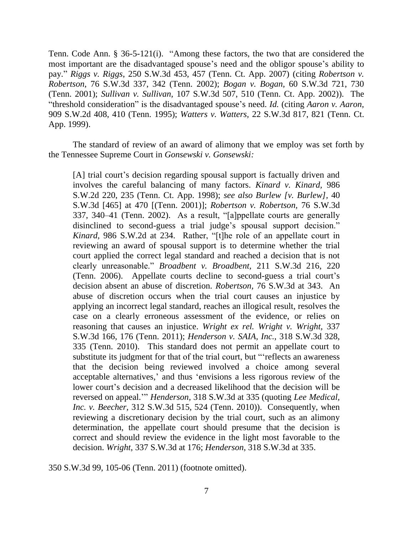Tenn. Code Ann. § 36-5-121(i). "Among these factors, the two that are considered the most important are the disadvantaged spouse's need and the obligor spouse's ability to pay." *Riggs v. Riggs*, 250 S.W.3d 453, 457 (Tenn. Ct. App. 2007) (citing *Robertson v. Robertson,* 76 S.W.3d 337, 342 (Tenn. 2002); *Bogan v. Bogan,* 60 S.W.3d 721, 730 (Tenn. 2001); *Sullivan v. Sullivan,* 107 S.W.3d 507, 510 (Tenn. Ct. App. 2002)). The "threshold consideration" is the disadvantaged spouse"s need. *Id.* (citing *Aaron v. Aaron,* 909 S.W.2d 408, 410 (Tenn. 1995); *Watters v. Watters,* 22 S.W.3d 817, 821 (Tenn. Ct. App. 1999).

The standard of review of an award of alimony that we employ was set forth by the Tennessee Supreme Court in *Gonsewski v. Gonsewski:*

[A] trial court's decision regarding spousal support is factually driven and involves the careful balancing of many factors. *Kinard v. Kinard,* 986 S.W.2d 220, 235 (Tenn. Ct. App. 1998); *see also Burlew [v. Burlew],* 40 S.W.3d [465] at 470 [(Tenn. 2001)]; *Robertson v. Robertson,* 76 S.W.3d 337, 340–41 (Tenn. 2002). As a result, "[a]ppellate courts are generally disinclined to second-guess a trial judge's spousal support decision." *Kinard,* 986 S.W.2d at 234. Rather, "[t]he role of an appellate court in reviewing an award of spousal support is to determine whether the trial court applied the correct legal standard and reached a decision that is not clearly unreasonable." *Broadbent v. Broadbent,* 211 S.W.3d 216, 220 (Tenn. 2006). Appellate courts decline to second-guess a trial court"s decision absent an abuse of discretion. *Robertson,* 76 S.W.3d at 343. An abuse of discretion occurs when the trial court causes an injustice by applying an incorrect legal standard, reaches an illogical result, resolves the case on a clearly erroneous assessment of the evidence, or relies on reasoning that causes an injustice. *Wright ex rel. Wright v. Wright,* 337 S.W.3d 166, 176 (Tenn. 2011); *Henderson v. SAIA, Inc.,* 318 S.W.3d 328, 335 (Tenn. 2010). This standard does not permit an appellate court to substitute its judgment for that of the trial court, but ""reflects an awareness that the decision being reviewed involved a choice among several acceptable alternatives,' and thus 'envisions a less rigorous review of the lower court's decision and a decreased likelihood that the decision will be reversed on appeal."" *Henderson,* 318 S.W.3d at 335 (quoting *Lee Medical, Inc. v. Beecher,* 312 S.W.3d 515, 524 (Tenn. 2010)). Consequently, when reviewing a discretionary decision by the trial court, such as an alimony determination, the appellate court should presume that the decision is correct and should review the evidence in the light most favorable to the decision. *Wright,* 337 S.W.3d at 176; *Henderson,* 318 S.W.3d at 335.

350 S.W.3d 99, 105-06 (Tenn. 2011) (footnote omitted).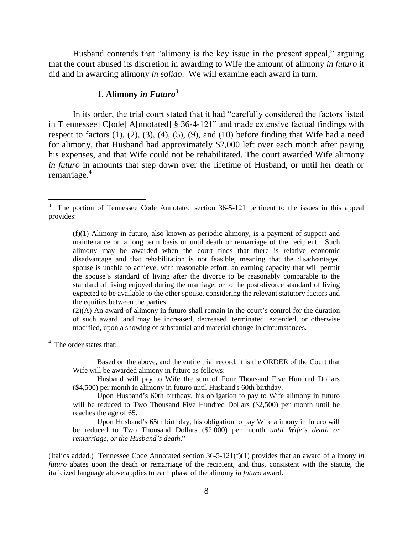Husband contends that "alimony is the key issue in the present appeal," arguing that the court abused its discretion in awarding to Wife the amount of alimony *in futuro* it did and in awarding alimony *in solido*. We will examine each award in turn.

## **1. Alimony** *in Futuro<sup>3</sup>*

In its order, the trial court stated that it had "carefully considered the factors listed in T[ennessee] C[ode] A[nnotated] § 36-4-121" and made extensive factual findings with respect to factors  $(1)$ ,  $(2)$ ,  $(3)$ ,  $(4)$ ,  $(5)$ ,  $(9)$ , and  $(10)$  before finding that Wife had a need for alimony, that Husband had approximately \$2,000 left over each month after paying his expenses, and that Wife could not be rehabilitated. The court awarded Wife alimony *in futuro* in amounts that step down over the lifetime of Husband, or until her death or remarriage.<sup>4</sup>

 $(2)(A)$  An award of alimony in futuro shall remain in the court's control for the duration of such award, and may be increased, decreased, terminated, extended, or otherwise modified, upon a showing of substantial and material change in circumstances.

<sup>4</sup> The order states that:

Based on the above, and the entire trial record, it is the ORDER of the Court that Wife will be awarded alimony in futuro as follows:

Husband will pay to Wife the sum of Four Thousand Five Hundred Dollars (\$4,500) per month in alimony in futuro until Husband's 60th birthday.

Upon Husband"s 60th birthday, his obligation to pay to Wife alimony in futuro will be reduced to Two Thousand Five Hundred Dollars (\$2,500) per month until he reaches the age of 65.

Upon Husband"s 65th birthday, his obligation to pay Wife alimony in futuro will be reduced to Two Thousand Dollars (\$2,000) per month *until Wife's death or remarriage, or the Husband's death*."

(Italics added.) Tennessee Code Annotated section 36-5-121(f)(1) provides that an award of alimony *in futuro* abates upon the death or remarriage of the recipient, and thus, consistent with the statute, the italicized language above applies to each phase of the alimony *in futuro* award.

<sup>3</sup> The portion of Tennessee Code Annotated section 36-5-121 pertinent to the issues in this appeal provides:

<sup>(</sup>f)(1) Alimony in futuro, also known as periodic alimony, is a payment of support and maintenance on a long term basis or until death or remarriage of the recipient. Such alimony may be awarded when the court finds that there is relative economic disadvantage and that rehabilitation is not feasible, meaning that the disadvantaged spouse is unable to achieve, with reasonable effort, an earning capacity that will permit the spouse"s standard of living after the divorce to be reasonably comparable to the standard of living enjoyed during the marriage, or to the post-divorce standard of living expected to be available to the other spouse, considering the relevant statutory factors and the equities between the parties.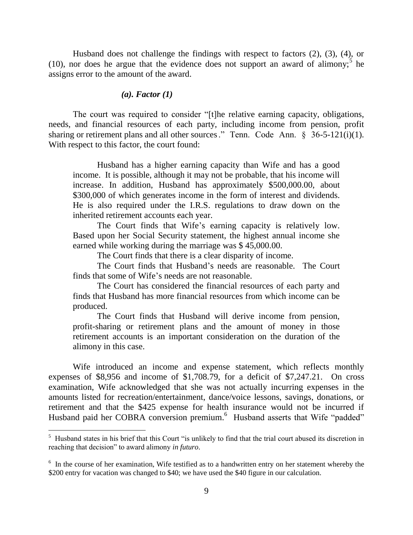Husband does not challenge the findings with respect to factors (2), (3), (4), or  $(10)$ , nor does he argue that the evidence does not support an award of alimony;<sup>5</sup> he assigns error to the amount of the award.

#### *(a). Factor (1)*

The court was required to consider "[t]he relative earning capacity, obligations, needs, and financial resources of each party, including income from pension, profit sharing or retirement plans and all other sources." Tenn. Code Ann.  $\S$  36-5-121(i)(1). With respect to this factor, the court found:

Husband has a higher earning capacity than Wife and has a good income. It is possible, although it may not be probable, that his income will increase. In addition, Husband has approximately \$500,000.00, about \$300,000 of which generates income in the form of interest and dividends. He is also required under the I.R.S. regulations to draw down on the inherited retirement accounts each year.

The Court finds that Wife's earning capacity is relatively low. Based upon her Social Security statement, the highest annual income she earned while working during the marriage was \$ 45,000.00.

The Court finds that there is a clear disparity of income.

The Court finds that Husband"s needs are reasonable. The Court finds that some of Wife's needs are not reasonable.

The Court has considered the financial resources of each party and finds that Husband has more financial resources from which income can be produced.

The Court finds that Husband will derive income from pension, profit-sharing or retirement plans and the amount of money in those retirement accounts is an important consideration on the duration of the alimony in this case.

Wife introduced an income and expense statement, which reflects monthly expenses of \$8,956 and income of \$1,708.79, for a deficit of \$7,247.21. On cross examination, Wife acknowledged that she was not actually incurring expenses in the amounts listed for recreation/entertainment, dance/voice lessons, savings, donations, or retirement and that the \$425 expense for health insurance would not be incurred if Husband paid her COBRA conversion premium.<sup>6</sup> Husband asserts that Wife "padded"

<sup>&</sup>lt;sup>5</sup> Husband states in his brief that this Court "is unlikely to find that the trial court abused its discretion in reaching that decision" to award alimony *in futuro*.

<sup>&</sup>lt;sup>6</sup> In the course of her examination, Wife testified as to a handwritten entry on her statement whereby the \$200 entry for vacation was changed to \$40; we have used the \$40 figure in our calculation.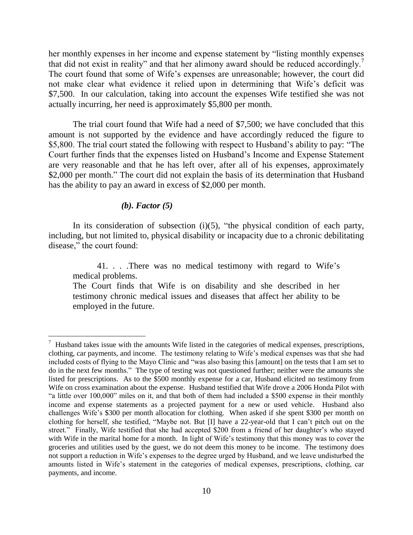her monthly expenses in her income and expense statement by "listing monthly expenses that did not exist in reality" and that her alimony award should be reduced accordingly.<sup>7</sup> The court found that some of Wife"s expenses are unreasonable; however, the court did not make clear what evidence it relied upon in determining that Wife"s deficit was \$7,500. In our calculation, taking into account the expenses Wife testified she was not actually incurring, her need is approximately \$5,800 per month.

The trial court found that Wife had a need of \$7,500; we have concluded that this amount is not supported by the evidence and have accordingly reduced the figure to \$5,800. The trial court stated the following with respect to Husband"s ability to pay: "The Court further finds that the expenses listed on Husband"s Income and Expense Statement are very reasonable and that he has left over, after all of his expenses, approximately \$2,000 per month." The court did not explain the basis of its determination that Husband has the ability to pay an award in excess of \$2,000 per month.

### *(b). Factor (5)*

In its consideration of subsection  $(i)(5)$ , "the physical condition of each party, including, but not limited to, physical disability or incapacity due to a chronic debilitating disease," the court found:

41. . . .There was no medical testimony with regard to Wife"s medical problems.

The Court finds that Wife is on disability and she described in her testimony chronic medical issues and diseases that affect her ability to be employed in the future.

 $\overline{a}$  $7$  Husband takes issue with the amounts Wife listed in the categories of medical expenses, prescriptions, clothing, car payments, and income. The testimony relating to Wife"s medical expenses was that she had included costs of flying to the Mayo Clinic and "was also basing this [amount] on the tests that I am set to do in the next few months." The type of testing was not questioned further; neither were the amounts she listed for prescriptions. As to the \$500 monthly expense for a car, Husband elicited no testimony from Wife on cross examination about the expense. Husband testified that Wife drove a 2006 Honda Pilot with "a little over 100,000" miles on it, and that both of them had included a \$500 expense in their monthly income and expense statements as a projected payment for a new or used vehicle. Husband also challenges Wife"s \$300 per month allocation for clothing. When asked if she spent \$300 per month on clothing for herself, she testified, "Maybe not. But [I] have a 22-year-old that I can"t pitch out on the street." Finally, Wife testified that she had accepted \$200 from a friend of her daughter's who stayed with Wife in the marital home for a month. In light of Wife's testimony that this money was to cover the groceries and utilities used by the guest, we do not deem this money to be income. The testimony does not support a reduction in Wife"s expenses to the degree urged by Husband, and we leave undisturbed the amounts listed in Wife"s statement in the categories of medical expenses, prescriptions, clothing, car payments, and income.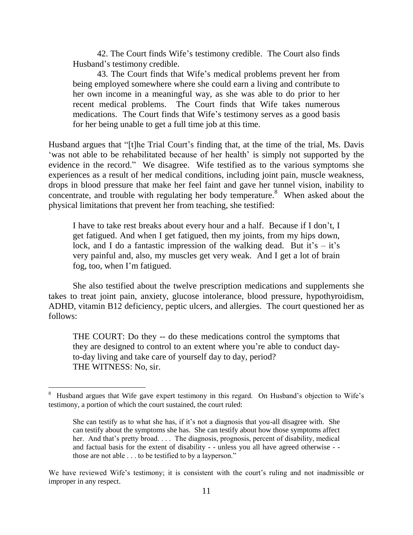42. The Court finds Wife"s testimony credible. The Court also finds Husband"s testimony credible.

43. The Court finds that Wife"s medical problems prevent her from being employed somewhere where she could earn a living and contribute to her own income in a meaningful way, as she was able to do prior to her recent medical problems. The Court finds that Wife takes numerous medications. The Court finds that Wife's testimony serves as a good basis for her being unable to get a full time job at this time.

Husband argues that "[t]he Trial Court's finding that, at the time of the trial, Ms. Davis 'was not able to be rehabilitated because of her health' is simply not supported by the evidence in the record." We disagree. Wife testified as to the various symptoms she experiences as a result of her medical conditions, including joint pain, muscle weakness, drops in blood pressure that make her feel faint and gave her tunnel vision, inability to concentrate, and trouble with regulating her body temperature.<sup>8</sup> When asked about the physical limitations that prevent her from teaching, she testified:

I have to take rest breaks about every hour and a half. Because if I don"t, I get fatigued. And when I get fatigued, then my joints, from my hips down, lock, and I do a fantastic impression of the walking dead. But it's  $-$  it's very painful and, also, my muscles get very weak. And I get a lot of brain fog, too, when I"m fatigued.

She also testified about the twelve prescription medications and supplements she takes to treat joint pain, anxiety, glucose intolerance, blood pressure, hypothyroidism, ADHD, vitamin B12 deficiency, peptic ulcers, and allergies. The court questioned her as follows:

THE COURT: Do they -- do these medications control the symptoms that they are designed to control to an extent where you"re able to conduct dayto-day living and take care of yourself day to day, period? THE WITNESS: No, sir.

 $\overline{a}$ 

<sup>&</sup>lt;sup>8</sup> Husband argues that Wife gave expert testimony in this regard. On Husband's objection to Wife's testimony, a portion of which the court sustained, the court ruled:

She can testify as to what she has, if it"s not a diagnosis that you-all disagree with. She can testify about the symptoms she has. She can testify about how those symptoms affect her. And that's pretty broad. . . . The diagnosis, prognosis, percent of disability, medical and factual basis for the extent of disability - - unless you all have agreed otherwise - those are not able . . . to be testified to by a layperson."

We have reviewed Wife's testimony; it is consistent with the court's ruling and not inadmissible or improper in any respect.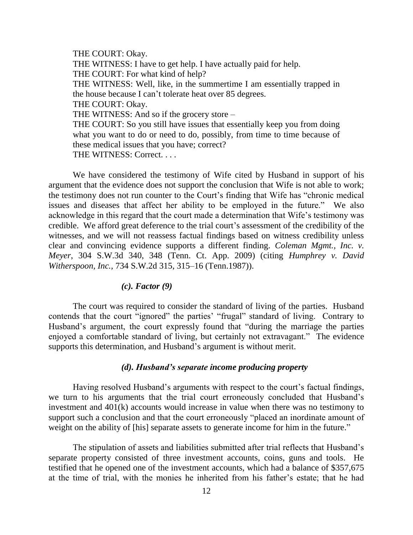THE COURT: Okay. THE WITNESS: I have to get help. I have actually paid for help. THE COURT: For what kind of help? THE WITNESS: Well, like, in the summertime I am essentially trapped in the house because I can"t tolerate heat over 85 degrees. THE COURT: Okay. THE WITNESS: And so if the grocery store – THE COURT: So you still have issues that essentially keep you from doing what you want to do or need to do, possibly, from time to time because of these medical issues that you have; correct? THE WITNESS: Correct. . . .

We have considered the testimony of Wife cited by Husband in support of his argument that the evidence does not support the conclusion that Wife is not able to work; the testimony does not run counter to the Court"s finding that Wife has "chronic medical issues and diseases that affect her ability to be employed in the future." We also acknowledge in this regard that the court made a determination that Wife"s testimony was credible. We afford great deference to the trial court's assessment of the credibility of the witnesses, and we will not reassess factual findings based on witness credibility unless clear and convincing evidence supports a different finding. *Coleman Mgmt., Inc. v. Meyer*, 304 S.W.3d 340, 348 (Tenn. Ct. App. 2009) (citing *Humphrey v. David Witherspoon, Inc.,* 734 S.W.2d 315, 315–16 (Tenn.1987)).

### *(c). Factor (9)*

The court was required to consider the standard of living of the parties. Husband contends that the court "ignored" the parties' "frugal" standard of living. Contrary to Husband"s argument, the court expressly found that "during the marriage the parties enjoyed a comfortable standard of living, but certainly not extravagant." The evidence supports this determination, and Husband's argument is without merit.

#### *(d). Husband's separate income producing property*

Having resolved Husband's arguments with respect to the court's factual findings, we turn to his arguments that the trial court erroneously concluded that Husband"s investment and 401(k) accounts would increase in value when there was no testimony to support such a conclusion and that the court erroneously "placed an inordinate amount of weight on the ability of [his] separate assets to generate income for him in the future."

The stipulation of assets and liabilities submitted after trial reflects that Husband"s separate property consisted of three investment accounts, coins, guns and tools. He testified that he opened one of the investment accounts, which had a balance of \$357,675 at the time of trial, with the monies he inherited from his father"s estate; that he had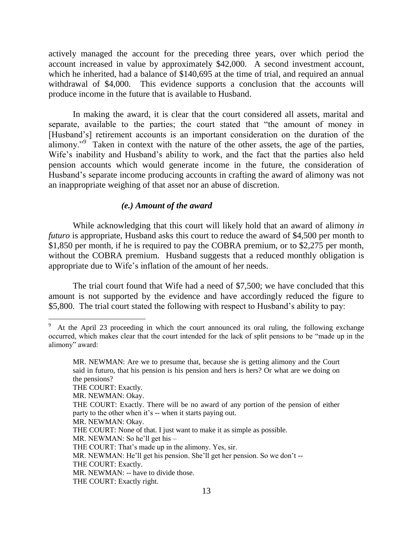actively managed the account for the preceding three years, over which period the account increased in value by approximately \$42,000. A second investment account, which he inherited, had a balance of \$140,695 at the time of trial, and required an annual withdrawal of \$4,000. This evidence supports a conclusion that the accounts will produce income in the future that is available to Husband.

In making the award, it is clear that the court considered all assets, marital and separate, available to the parties; the court stated that "the amount of money in [Husband"s] retirement accounts is an important consideration on the duration of the alimony."<sup>9</sup> Taken in context with the nature of the other assets, the age of the parties, Wife's inability and Husband's ability to work, and the fact that the parties also held pension accounts which would generate income in the future, the consideration of Husband"s separate income producing accounts in crafting the award of alimony was not an inappropriate weighing of that asset nor an abuse of discretion.

### *(e.) Amount of the award*

While acknowledging that this court will likely hold that an award of alimony *in futuro* is appropriate, Husband asks this court to reduce the award of \$4,500 per month to \$1,850 per month, if he is required to pay the COBRA premium, or to \$2,275 per month, without the COBRA premium. Husband suggests that a reduced monthly obligation is appropriate due to Wife's inflation of the amount of her needs.

The trial court found that Wife had a need of \$7,500; we have concluded that this amount is not supported by the evidence and have accordingly reduced the figure to \$5,800. The trial court stated the following with respect to Husband's ability to pay:

 $\overline{a}$ 

- THE COURT: Exactly. There will be no award of any portion of the pension of either party to the other when it's -- when it starts paying out.
- MR. NEWMAN: Okay.
- THE COURT: None of that. I just want to make it as simple as possible.
- MR. NEWMAN: So he'll get his –
- THE COURT: That's made up in the alimony. Yes, sir.
- MR. NEWMAN: He'll get his pension. She'll get her pension. So we don't --
- THE COURT: Exactly.
- MR. NEWMAN: -- have to divide those.
- THE COURT: Exactly right.

 $9\sigma$  At the April 23 proceeding in which the court announced its oral ruling, the following exchange occurred, which makes clear that the court intended for the lack of split pensions to be "made up in the alimony" award:

MR. NEWMAN: Are we to presume that, because she is getting alimony and the Court said in futuro, that his pension is his pension and hers is hers? Or what are we doing on the pensions?

THE COURT: Exactly.

MR. NEWMAN: Okay.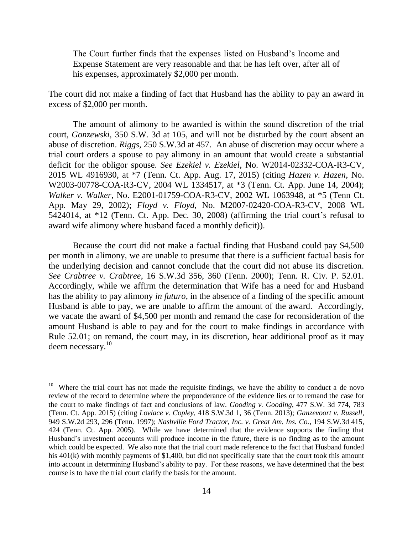The Court further finds that the expenses listed on Husband"s Income and Expense Statement are very reasonable and that he has left over, after all of his expenses, approximately \$2,000 per month.

The court did not make a finding of fact that Husband has the ability to pay an award in excess of \$2,000 per month.

The amount of alimony to be awarded is within the sound discretion of the trial court, *Gonzewski*, 350 S.W. 3d at 105, and will not be disturbed by the court absent an abuse of discretion. *Riggs*, 250 S.W.3d at 457. An abuse of discretion may occur where a trial court orders a spouse to pay alimony in an amount that would create a substantial deficit for the obligor spouse. *See Ezekiel v. Ezekiel*, No. W2014-02332-COA-R3-CV, 2015 WL 4916930, at \*7 (Tenn. Ct. App. Aug. 17, 2015) (citing *Hazen v. Hazen*, No. W2003-00778-COA-R3-CV, 2004 WL 1334517, at \*3 (Tenn. Ct. App. June 14, 2004); *Walker v. Walker*, No. E2001-01759-COA-R3-CV, 2002 WL 1063948, at \*5 (Tenn Ct. App. May 29, 2002); *Floyd v. Floyd*, No. M2007-02420-COA-R3-CV, 2008 WL 5424014, at  $*12$  (Tenn. Ct. App. Dec. 30, 2008) (affirming the trial court's refusal to award wife alimony where husband faced a monthly deficit)).

Because the court did not make a factual finding that Husband could pay \$4,500 per month in alimony, we are unable to presume that there is a sufficient factual basis for the underlying decision and cannot conclude that the court did not abuse its discretion. *See Crabtree v. Crabtree*, 16 S.W.3d 356, 360 (Tenn. 2000); Tenn. R. Civ. P. 52.01. Accordingly, while we affirm the determination that Wife has a need for and Husband has the ability to pay alimony *in futuro*, in the absence of a finding of the specific amount Husband is able to pay, we are unable to affirm the amount of the award. Accordingly, we vacate the award of \$4,500 per month and remand the case for reconsideration of the amount Husband is able to pay and for the court to make findings in accordance with Rule 52.01; on remand, the court may, in its discretion, hear additional proof as it may deem necessary. $^{10}$ 

 $\overline{a}$ 

<sup>&</sup>lt;sup>10</sup> Where the trial court has not made the requisite findings, we have the ability to conduct a de novo review of the record to determine where the preponderance of the evidence lies or to remand the case for the court to make findings of fact and conclusions of law. *Gooding v. Gooding*, 477 S.W. 3d 774, 783 (Tenn. Ct. App. 2015) (citing *Lovlace v. Copley*, 418 S.W.3d 1, 36 (Tenn. 2013); *Ganzevoort v. Russell*, 949 S.W.2d 293, 296 (Tenn. 1997); *Nashville Ford Tractor, Inc. v. Great Am. Ins. Co.*, 194 S.W.3d 415, 424 (Tenn. Ct. App. 2005). While we have determined that the evidence supports the finding that Husband"s investment accounts will produce income in the future, there is no finding as to the amount which could be expected. We also note that the trial court made reference to the fact that Husband funded his 401(k) with monthly payments of \$1,400, but did not specifically state that the court took this amount into account in determining Husband"s ability to pay. For these reasons, we have determined that the best course is to have the trial court clarify the basis for the amount.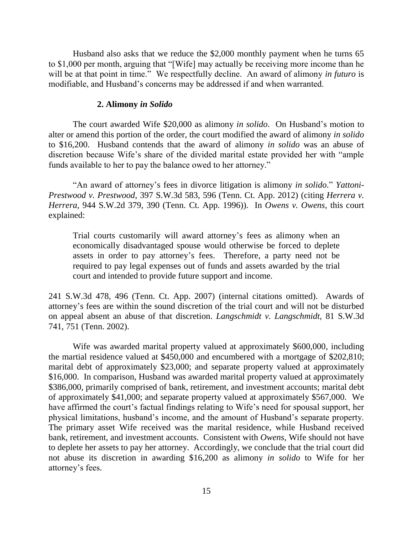Husband also asks that we reduce the \$2,000 monthly payment when he turns 65 to \$1,000 per month, arguing that "[Wife] may actually be receiving more income than he will be at that point in time." We respectfully decline. An award of alimony *in futuro* is modifiable, and Husband"s concerns may be addressed if and when warranted.

### **2. Alimony** *in Solido*

The court awarded Wife \$20,000 as alimony *in solido*. On Husband"s motion to alter or amend this portion of the order, the court modified the award of alimony *in solido* to \$16,200. Husband contends that the award of alimony *in solido* was an abuse of discretion because Wife"s share of the divided marital estate provided her with "ample funds available to her to pay the balance owed to her attorney."

"An award of attorney"s fees in divorce litigation is alimony *in solido*." *Yattoni-Prestwood v. Prestwood*, 397 S.W.3d 583, 596 (Tenn. Ct. App. 2012) (citing *Herrera v. Herrera,* 944 S.W.2d 379, 390 (Tenn. Ct. App. 1996)). In *Owens v. Owens,* this court explained:

Trial courts customarily will award attorney"s fees as alimony when an economically disadvantaged spouse would otherwise be forced to deplete assets in order to pay attorney"s fees. Therefore, a party need not be required to pay legal expenses out of funds and assets awarded by the trial court and intended to provide future support and income.

241 S.W.3d 478, 496 (Tenn. Ct. App. 2007) (internal citations omitted). Awards of attorney"s fees are within the sound discretion of the trial court and will not be disturbed on appeal absent an abuse of that discretion. *Langschmidt v. Langschmidt,* 81 S.W.3d 741, 751 (Tenn. 2002).

Wife was awarded marital property valued at approximately \$600,000, including the martial residence valued at \$450,000 and encumbered with a mortgage of \$202,810; marital debt of approximately \$23,000; and separate property valued at approximately \$16,000. In comparison, Husband was awarded marital property valued at approximately \$386,000, primarily comprised of bank, retirement, and investment accounts; marital debt of approximately \$41,000; and separate property valued at approximately \$567,000. We have affirmed the court's factual findings relating to Wife's need for spousal support, her physical limitations, husband"s income, and the amount of Husband"s separate property. The primary asset Wife received was the marital residence, while Husband received bank, retirement, and investment accounts. Consistent with *Owens*, Wife should not have to deplete her assets to pay her attorney. Accordingly, we conclude that the trial court did not abuse its discretion in awarding \$16,200 as alimony *in solido* to Wife for her attorney's fees.